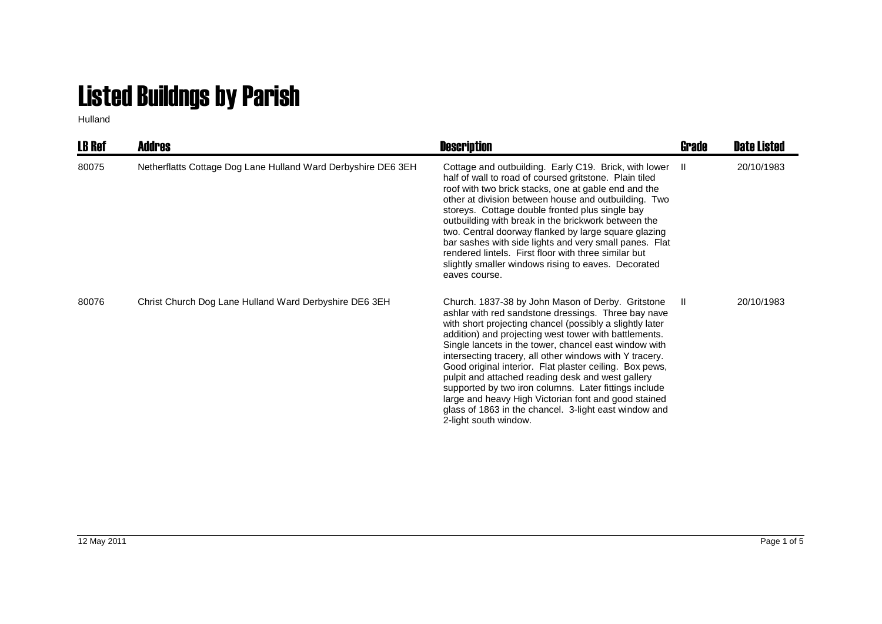## Listed Buildngs by Parish

Hulland

| <b>LB Ref</b> | <b>Addres</b>                                                 | <b>Description</b>                                                                                                                                                                                                                                                                                                                                                                                                                                                                                                                                                                                                                                                   | Grade | <b>Date Listed</b> |
|---------------|---------------------------------------------------------------|----------------------------------------------------------------------------------------------------------------------------------------------------------------------------------------------------------------------------------------------------------------------------------------------------------------------------------------------------------------------------------------------------------------------------------------------------------------------------------------------------------------------------------------------------------------------------------------------------------------------------------------------------------------------|-------|--------------------|
| 80075         | Netherflatts Cottage Dog Lane Hulland Ward Derbyshire DE6 3EH | Cottage and outbuilding. Early C19. Brick, with lower II<br>half of wall to road of coursed gritstone. Plain tiled<br>roof with two brick stacks, one at gable end and the<br>other at division between house and outbuilding. Two<br>storeys. Cottage double fronted plus single bay<br>outbuilding with break in the brickwork between the<br>two. Central doorway flanked by large square glazing<br>bar sashes with side lights and very small panes. Flat<br>rendered lintels. First floor with three similar but<br>slightly smaller windows rising to eaves. Decorated<br>eaves course.                                                                       |       | 20/10/1983         |
| 80076         | Christ Church Dog Lane Hulland Ward Derbyshire DE6 3EH        | Church. 1837-38 by John Mason of Derby. Gritstone<br>ashlar with red sandstone dressings. Three bay nave<br>with short projecting chancel (possibly a slightly later<br>addition) and projecting west tower with battlements.<br>Single lancets in the tower, chancel east window with<br>intersecting tracery, all other windows with Y tracery.<br>Good original interior. Flat plaster ceiling. Box pews,<br>pulpit and attached reading desk and west gallery<br>supported by two iron columns. Later fittings include<br>large and heavy High Victorian font and good stained<br>glass of 1863 in the chancel. 3-light east window and<br>2-light south window. | -II.  | 20/10/1983         |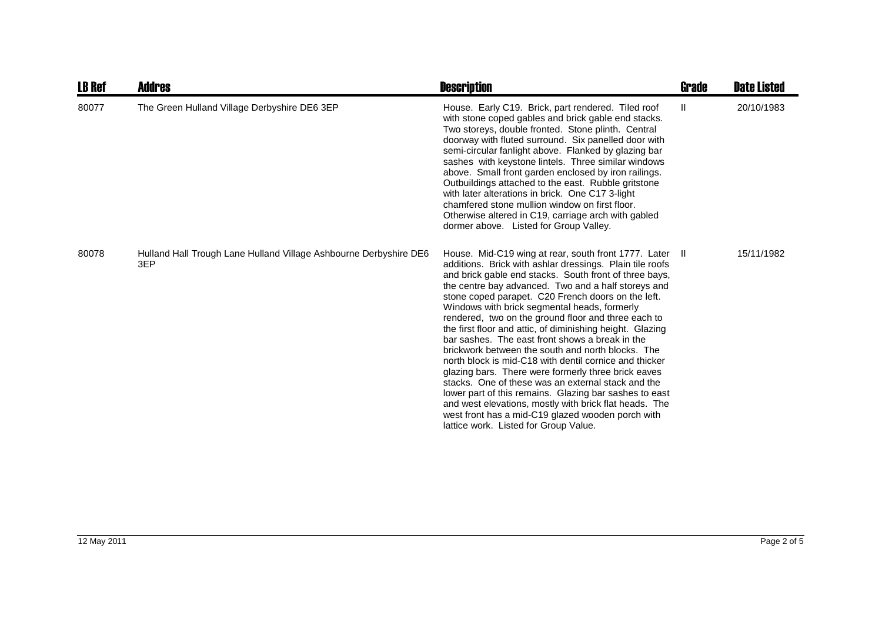| <b>LB Ref</b> | <b>Addres</b>                                                            | <b>Description</b>                                                                                                                                                                                                                                                                                                                                                                                                                                                                                                                                                                                                                                                                                                                                                                                                                                                                                                                                              | <b>Grade</b>  | <b>Date Listed</b> |
|---------------|--------------------------------------------------------------------------|-----------------------------------------------------------------------------------------------------------------------------------------------------------------------------------------------------------------------------------------------------------------------------------------------------------------------------------------------------------------------------------------------------------------------------------------------------------------------------------------------------------------------------------------------------------------------------------------------------------------------------------------------------------------------------------------------------------------------------------------------------------------------------------------------------------------------------------------------------------------------------------------------------------------------------------------------------------------|---------------|--------------------|
| 80077         | The Green Hulland Village Derbyshire DE6 3EP                             | House. Early C19. Brick, part rendered. Tiled roof<br>with stone coped gables and brick gable end stacks.<br>Two storeys, double fronted. Stone plinth. Central<br>doorway with fluted surround. Six panelled door with<br>semi-circular fanlight above. Flanked by glazing bar<br>sashes with keystone lintels. Three similar windows<br>above. Small front garden enclosed by iron railings.<br>Outbuildings attached to the east. Rubble gritstone<br>with later alterations in brick. One C17 3-light<br>chamfered stone mullion window on first floor.<br>Otherwise altered in C19, carriage arch with gabled<br>dormer above. Listed for Group Valley.                                                                                                                                                                                                                                                                                                    | $\mathbf{II}$ | 20/10/1983         |
| 80078         | Hulland Hall Trough Lane Hulland Village Ashbourne Derbyshire DE6<br>3EP | House. Mid-C19 wing at rear, south front 1777. Later II<br>additions. Brick with ashlar dressings. Plain tile roofs<br>and brick gable end stacks. South front of three bays,<br>the centre bay advanced. Two and a half storeys and<br>stone coped parapet. C20 French doors on the left.<br>Windows with brick segmental heads, formerly<br>rendered, two on the ground floor and three each to<br>the first floor and attic, of diminishing height. Glazing<br>bar sashes. The east front shows a break in the<br>brickwork between the south and north blocks. The<br>north block is mid-C18 with dentil cornice and thicker<br>glazing bars. There were formerly three brick eaves<br>stacks. One of these was an external stack and the<br>lower part of this remains. Glazing bar sashes to east<br>and west elevations, mostly with brick flat heads. The<br>west front has a mid-C19 glazed wooden porch with<br>lattice work. Listed for Group Value. |               | 15/11/1982         |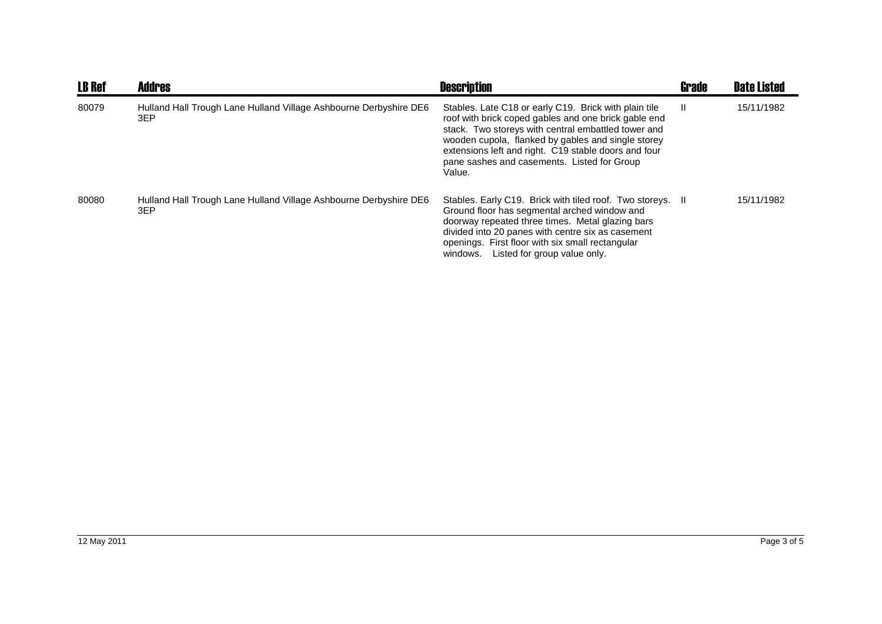| <b>LB Ref</b> | <b>Addres</b>                                                            | <b>Description</b>                                                                                                                                                                                                                                                                                                                          | <b>Grade</b> | <b>Date Listed</b> |
|---------------|--------------------------------------------------------------------------|---------------------------------------------------------------------------------------------------------------------------------------------------------------------------------------------------------------------------------------------------------------------------------------------------------------------------------------------|--------------|--------------------|
| 80079         | Hulland Hall Trough Lane Hulland Village Ashbourne Derbyshire DE6<br>3EP | Stables. Late C18 or early C19. Brick with plain tile<br>roof with brick coped gables and one brick gable end<br>stack. Two storeys with central embattled tower and<br>wooden cupola, flanked by gables and single storey<br>extensions left and right. C19 stable doors and four<br>pane sashes and casements. Listed for Group<br>Value. | Ш            | 15/11/1982         |
| 80080         | Hulland Hall Trough Lane Hulland Village Ashbourne Derbyshire DE6<br>3EP | Stables. Early C19. Brick with tiled roof. Two storeys. II<br>Ground floor has segmental arched window and<br>doorway repeated three times. Metal glazing bars<br>divided into 20 panes with centre six as casement<br>openings. First floor with six small rectangular<br>Listed for group value only.<br>windows.                         |              | 15/11/1982         |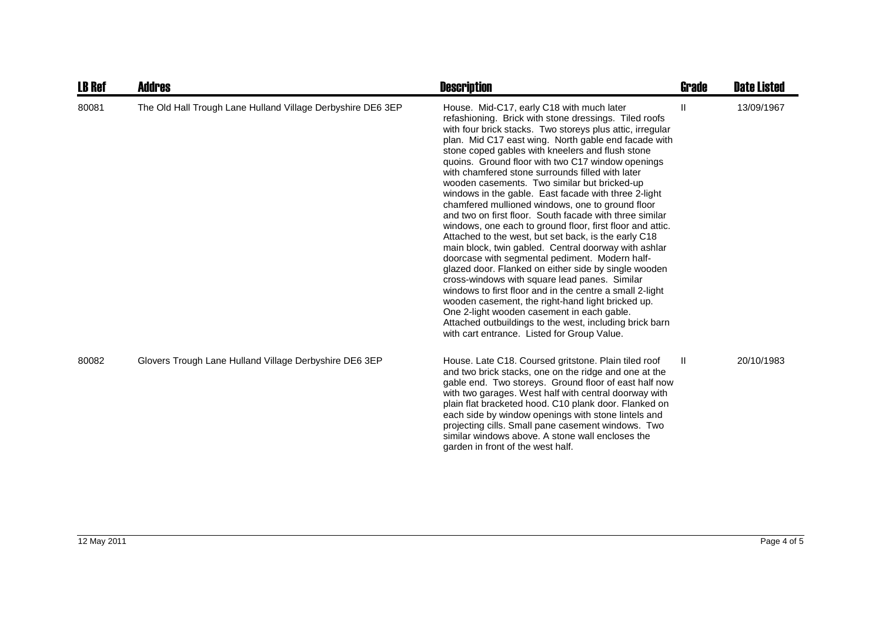| <b>LB Ref</b> | <b>Addres</b>                                               | <b>Description</b>                                                                                                                                                                                                                                                                                                                                                                                                                                                                                                                                                                                                                                                                                                                                                                                                                                                                                                                                                                                                                                                                                                                                                                                                           | <b>Grade</b> | <b>Date Listed</b> |
|---------------|-------------------------------------------------------------|------------------------------------------------------------------------------------------------------------------------------------------------------------------------------------------------------------------------------------------------------------------------------------------------------------------------------------------------------------------------------------------------------------------------------------------------------------------------------------------------------------------------------------------------------------------------------------------------------------------------------------------------------------------------------------------------------------------------------------------------------------------------------------------------------------------------------------------------------------------------------------------------------------------------------------------------------------------------------------------------------------------------------------------------------------------------------------------------------------------------------------------------------------------------------------------------------------------------------|--------------|--------------------|
| 80081         | The Old Hall Trough Lane Hulland Village Derbyshire DE6 3EP | House. Mid-C17, early C18 with much later<br>refashioning. Brick with stone dressings. Tiled roofs<br>with four brick stacks. Two storeys plus attic, irregular<br>plan. Mid C17 east wing. North gable end facade with<br>stone coped gables with kneelers and flush stone<br>quoins. Ground floor with two C17 window openings<br>with chamfered stone surrounds filled with later<br>wooden casements. Two similar but bricked-up<br>windows in the gable. East facade with three 2-light<br>chamfered mullioned windows, one to ground floor<br>and two on first floor. South facade with three similar<br>windows, one each to ground floor, first floor and attic.<br>Attached to the west, but set back, is the early C18<br>main block, twin gabled. Central doorway with ashlar<br>doorcase with segmental pediment. Modern half-<br>glazed door. Flanked on either side by single wooden<br>cross-windows with square lead panes. Similar<br>windows to first floor and in the centre a small 2-light<br>wooden casement, the right-hand light bricked up.<br>One 2-light wooden casement in each gable.<br>Attached outbuildings to the west, including brick barn<br>with cart entrance. Listed for Group Value. | Ш            | 13/09/1967         |
| 80082         | Glovers Trough Lane Hulland Village Derbyshire DE6 3EP      | House. Late C18. Coursed gritstone. Plain tiled roof<br>and two brick stacks, one on the ridge and one at the<br>gable end. Two storeys. Ground floor of east half now<br>with two garages. West half with central doorway with<br>plain flat bracketed hood. C10 plank door. Flanked on<br>each side by window openings with stone lintels and<br>projecting cills. Small pane casement windows. Two<br>similar windows above. A stone wall encloses the<br>garden in front of the west half.                                                                                                                                                                                                                                                                                                                                                                                                                                                                                                                                                                                                                                                                                                                               | Ш            | 20/10/1983         |